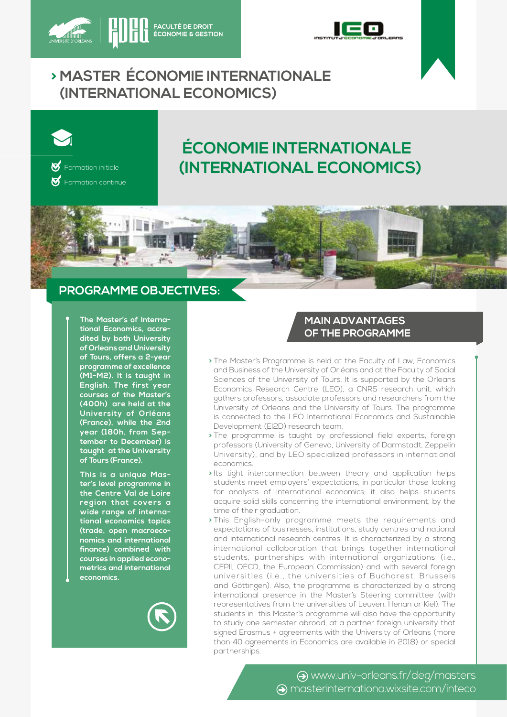



# **> MASTER ÉCONOMIE INTERNATIONALE (INTERNATIONAL ECONOMICS)**



Formation continue

# **ÉCONOMIE INTERNATIONALE**   $\text{W}_{\text{Formation initiale}}$  **(INTERNATIONAL ECONOMICS)**

# **PROGRAMME OBJECTIVES:**

**The Master's of International Economics, accredited by both University of Orleans and University of Tours, offers a 2-year programme of excellence (M1-M2). It is taught in English. The first year courses of the Master's (400h) are held at the University of Orléans (France), while the 2nd year (180h, from September to December) is taught at the University of Tours (France).**

**This is a unique Master's level programme in the Centre Val de Loire**  region that covers a **wide range of international economics topics (trade, open macroeconomics and international finance) combined with courses in applied econometrics and international economics.**



## **MAIN ADVANTAGES OF THE PROGRAMME**

- **>** The Master's Programme is held at the Faculty of Law, Economics and Business of the University of Orléans and at the Faculty of Social Sciences of the University of Tours. It is supported by the Orleans Economics Research Centre (LEO), a CNRS research unit, which gathers professors, associate professors and researchers from the University of Orleans and the University of Tours. The programme is connected to the LEO International Economics and Sustainable Development (EI2D) research team.
- **>** The programme is taught by professional field experts, foreign professors (University of Geneva, University of Darmstadt, Zeppelin University), and by LEO specialized professors in international economics.
- **>** Its tight interconnection between theory and application helps students meet employers' expectations, in particular those looking for analysts of international economics; it also helps students acquire solid skills concerning the international environment, by the time of their graduation.
- **>** This English-only programme meets the requirements and expectations of businesses, institutions, study centres and national and international research centres. It is characterized by a strong international collaboration that brings together international students, partnerships with international organizations (i.e., CEPII, OECD, the European Commission) and with several foreign universities (i.e., the universities of Bucharest, Brussels and Göttingen). Also, the programme is characterized by a strong international presence in the Master's Steering committee (with representatives from the universities of Leuven, Henan or Kiel). The students in this Master's programme will also have the opportunity to study one semester abroad, at a partner foreign university that signed Erasmus + agreements with the University of Orléans (more than 40 agreements in Economics are available in 2018) or special partnerships.